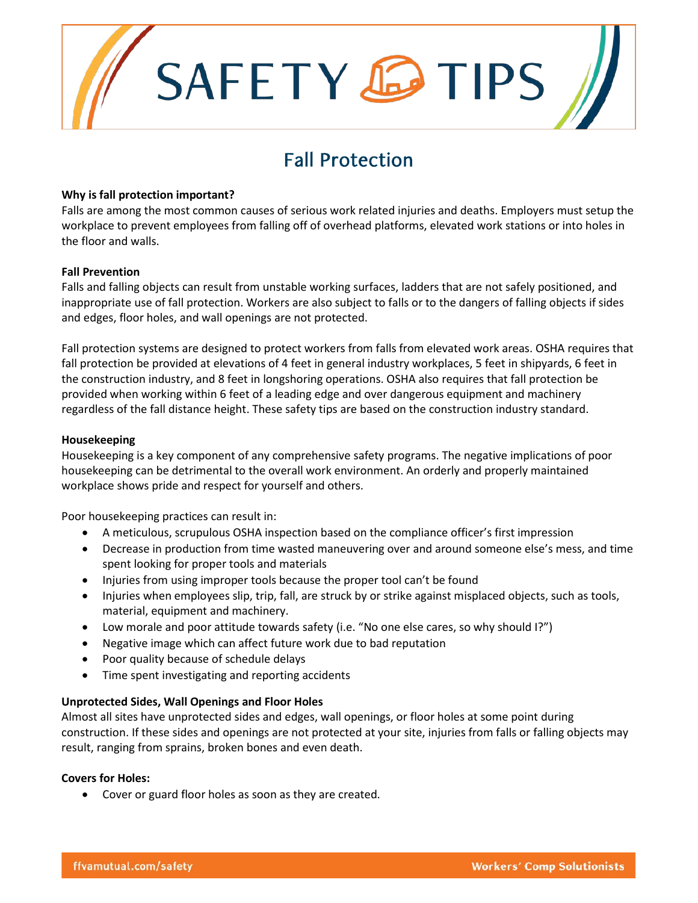# SAFETY **C**TIPS

# Fall Protection

#### **Why is fall protection important?**

Falls are among the most common causes of serious work related injuries and deaths. Employers must setup the workplace to prevent employees from falling off of overhead platforms, elevated work stations or into holes in the floor and walls.

#### **Fall Prevention**

Falls and falling objects can result from unstable working surfaces, ladders that are not safely positioned, and inappropriate use of fall protection. Workers are also subject to falls or to the dangers of falling objects if sides and edges, floor holes, and wall openings are not protected.

Fall protection systems are designed to protect workers from falls from elevated work areas. OSHA requires that fall protection be provided at elevations of 4 feet in general industry workplaces, 5 feet in shipyards, 6 feet in the construction industry, and 8 feet in longshoring operations. OSHA also requires that fall protection be provided when working within 6 feet of a leading edge and over dangerous equipment and machinery regardless of the fall distance height. These safety tips are based on the construction industry standard.

#### **Housekeeping**

Housekeeping is a key component of any comprehensive safety programs. The negative implications of poor housekeeping can be detrimental to the overall work environment. An orderly and properly maintained workplace shows pride and respect for yourself and others.

Poor housekeeping practices can result in:

- A meticulous, scrupulous OSHA inspection based on the compliance officer's first impression
- Decrease in production from time wasted maneuvering over and around someone else's mess, and time spent looking for proper tools and materials
- Injuries from using improper tools because the proper tool can't be found
- Injuries when employees slip, trip, fall, are struck by or strike against misplaced objects, such as tools, material, equipment and machinery.
- Low morale and poor attitude towards safety (i.e. "No one else cares, so why should I?")
- Negative image which can affect future work due to bad reputation
- Poor quality because of schedule delays
- Time spent investigating and reporting accidents

#### **Unprotected Sides, Wall Openings and Floor Holes**

Almost all sites have unprotected sides and edges, wall openings, or floor holes at some point during construction. If these sides and openings are not protected at your site, injuries from falls or falling objects may result, ranging from sprains, broken bones and even death.

#### **Covers for Holes:**

• Cover or guard floor holes as soon as they are created.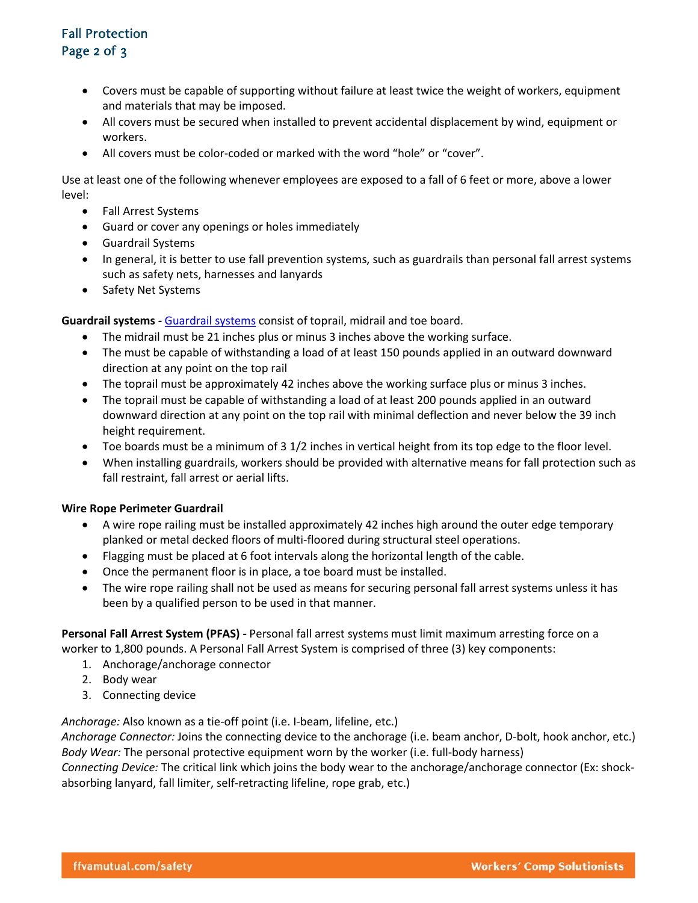### Fall Protection Page 2 of 3

- Covers must be capable of supporting without failure at least twice the weight of workers, equipment and materials that may be imposed.
- All covers must be secured when installed to prevent accidental displacement by wind, equipment or workers.
- All covers must be color-coded or marked with the word "hole" or "cover".

Use at least one of the following whenever employees are exposed to a fall of 6 feet or more, above a lower level:

- Fall Arrest Systems
- Guard or cover any openings or holes immediately
- Guardrail Systems
- In general, it is better to use fall prevention systems, such as guardrails than personal fall arrest systems such as safety nets, harnesses and lanyards
- Safety Net Systems

**Guardrail systems -** [Guardrail systems](https://www.osha.gov/SLTC/etools/construction/falls/guardrail.html) consist of toprail, midrail and toe board.

- The midrail must be 21 inches plus or minus 3 inches above the working surface.
- The must be capable of withstanding a load of at least 150 pounds applied in an outward downward direction at any point on the top rail
- The toprail must be approximately 42 inches above the working surface plus or minus 3 inches.
- The toprail must be capable of withstanding a load of at least 200 pounds applied in an outward downward direction at any point on the top rail with minimal deflection and never below the 39 inch height requirement.
- Toe boards must be a minimum of 3 1/2 inches in vertical height from its top edge to the floor level.
- When installing guardrails, workers should be provided with alternative means for fall protection such as fall restraint, fall arrest or aerial lifts.

#### **Wire Rope Perimeter Guardrail**

- A wire rope railing must be installed approximately 42 inches high around the outer edge temporary planked or metal decked floors of multi-floored during structural steel operations.
- Flagging must be placed at 6 foot intervals along the horizontal length of the cable.
- Once the permanent floor is in place, a toe board must be installed.
- The wire rope railing shall not be used as means for securing personal fall arrest systems unless it has been by a qualified person to be used in that manner.

**Personal Fall Arrest System (PFAS) -** Personal fall arrest systems must limit maximum arresting force on a worker to 1,800 pounds. A Personal Fall Arrest System is comprised of three (3) key components:

- 1. Anchorage/anchorage connector
- 2. Body wear
- 3. Connecting device

*Anchorage:* Also known as a tie-off point (i.e. I-beam, lifeline, etc.)

*Anchorage Connector:* Joins the connecting device to the anchorage (i.e. beam anchor, D-bolt, hook anchor, etc.) *Body Wear:* The personal protective equipment worn by the worker (i.e. full-body harness)

*Connecting Device:* The critical link which joins the body wear to the anchorage/anchorage connector (Ex: shockabsorbing lanyard, fall limiter, self-retracting lifeline, rope grab, etc.)